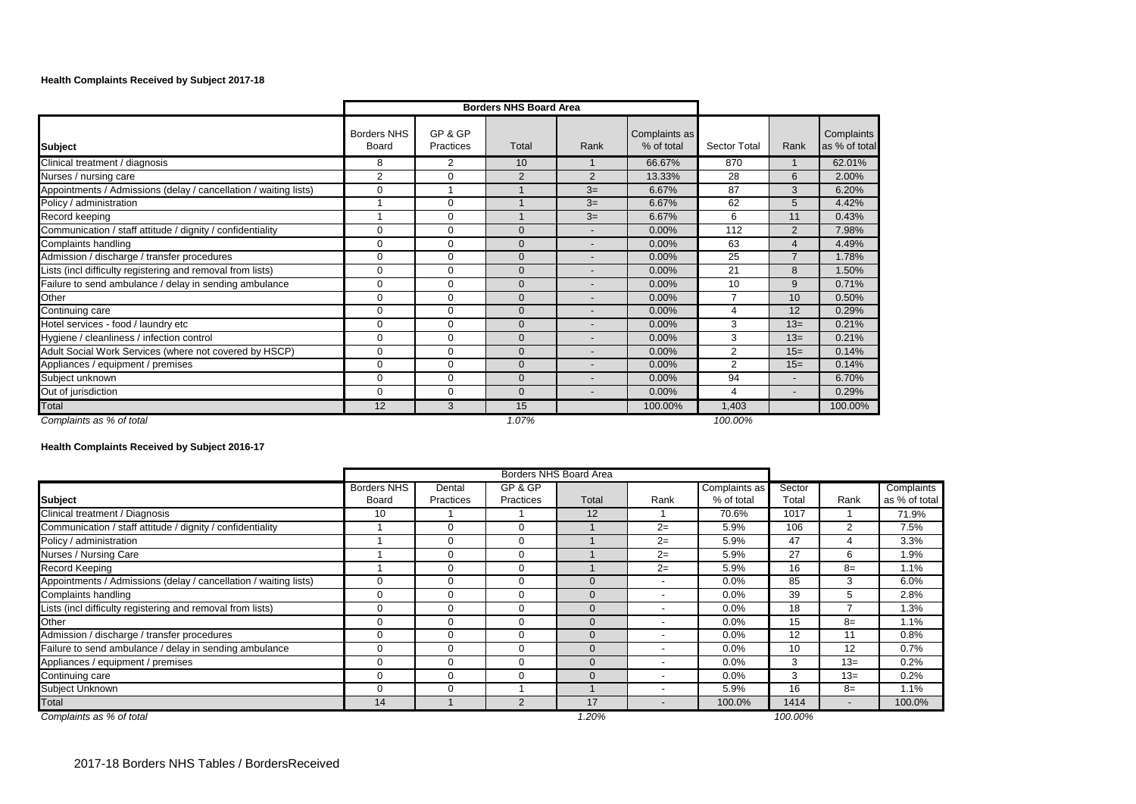## **Health Complaints Received by Subject 2017-18**

|                                                                  |                             | <b>Borders NHS Board Area</b> |                |                |                             |                |                          |                             |
|------------------------------------------------------------------|-----------------------------|-------------------------------|----------------|----------------|-----------------------------|----------------|--------------------------|-----------------------------|
| <b>Subject</b>                                                   | <b>Borders NHS</b><br>Board | GP & GP<br>Practices          | Total          | Rank           | Complaints as<br>% of total | Sector Total   | Rank                     | Complaints<br>as % of total |
| Clinical treatment / diagnosis                                   | 8                           | $\overline{2}$                | 10             |                | 66.67%                      | 870            |                          | 62.01%                      |
| Nurses / nursing care                                            | 2                           | 0                             | $\overline{2}$ | $\overline{2}$ | 13.33%                      | 28             | 6                        | 2.00%                       |
| Appointments / Admissions (delay / cancellation / waiting lists) | $\Omega$                    | 1                             |                | $3=$           | 6.67%                       | 87             | 3                        | 6.20%                       |
| Policy / administration                                          |                             | $\Omega$                      |                | $3=$           | 6.67%                       | 62             | 5                        | 4.42%                       |
| Record keeping                                                   |                             | $\Omega$                      |                | $3=$           | 6.67%                       | 6              | 11                       | 0.43%                       |
| Communication / staff attitude / dignity / confidentiality       | 0                           | $\Omega$                      | $\Omega$       |                | 0.00%                       | 112            | $\overline{2}$           | 7.98%                       |
| Complaints handling                                              | 0                           | $\Omega$                      | $\Omega$       |                | 0.00%                       | 63             | 4                        | 4.49%                       |
| Admission / discharge / transfer procedures                      | 0                           | $\Omega$                      | $\Omega$       |                | $0.00\%$                    | 25             |                          | 1.78%                       |
| Lists (incl difficulty registering and removal from lists)       | $\Omega$                    | $\Omega$                      | $\Omega$       |                | $0.00\%$                    | 21             | 8                        | 1.50%                       |
| Failure to send ambulance / delay in sending ambulance           | $\Omega$                    | $\Omega$                      | $\Omega$       |                | 0.00%                       | 10             | 9                        | 0.71%                       |
| Other                                                            | $\Omega$                    | $\Omega$                      | $\Omega$       |                | 0.00%                       | 7              | 10                       | 0.50%                       |
| Continuing care                                                  | $\Omega$                    | $\Omega$                      | $\Omega$       |                | 0.00%                       | 4              | 12                       | 0.29%                       |
| Hotel services - food / laundry etc                              | $\Omega$                    | $\Omega$                      | $\Omega$       |                | $0.00\%$                    | 3              | $13=$                    | 0.21%                       |
| Hygiene / cleanliness / infection control                        | $\Omega$                    | $\Omega$                      | $\Omega$       |                | 0.00%                       | 3              | $13=$                    | 0.21%                       |
| Adult Social Work Services (where not covered by HSCP)           | 0                           | $\Omega$                      | $\Omega$       |                | 0.00%                       | 2              | $15=$                    | 0.14%                       |
| Appliances / equipment / premises                                | $\Omega$                    | $\Omega$                      | $\Omega$       |                | $0.00\%$                    | $\overline{2}$ | $15=$                    | 0.14%                       |
| Subject unknown                                                  | 0                           | $\Omega$                      | $\Omega$       |                | $0.00\%$                    | 94             | $\overline{\phantom{0}}$ | 6.70%                       |
| Out of jurisdiction                                              | $\Omega$                    | $\Omega$                      | $\Omega$       |                | 0.00%                       | 4              |                          | 0.29%                       |
| Total                                                            | 12                          | 3                             | 15             |                | 100.00%                     | 1,403          |                          | 100.00%                     |
| Complaints as % of total                                         |                             |                               | 1.07%          |                |                             | 100.00%        |                          |                             |

**Health Complaints Received by Subject 2016-17**

|                                                                  |                    | Borders NHS Board Area |                  |               |                          |               |         |       |               |
|------------------------------------------------------------------|--------------------|------------------------|------------------|---------------|--------------------------|---------------|---------|-------|---------------|
|                                                                  | <b>Borders NHS</b> | Dental                 | GP & GP          |               |                          | Complaints as | Sector  |       | Complaints    |
| <b>Subject</b>                                                   | Board              | Practices              | <b>Practices</b> | Total         | Rank                     | % of total    | Total   | Rank  | as % of total |
| Clinical treatment / Diagnosis                                   | 10                 |                        |                  | 12            |                          | 70.6%         | 1017    |       | 71.9%         |
| Communication / staff attitude / dignity / confidentiality       |                    | 0                      | $\Omega$         |               | $2=$                     | 5.9%          | 106     | 2     | 7.5%          |
| Policy / administration                                          |                    | 0                      |                  |               | $2=$                     | 5.9%          | 47      | 4     | 3.3%          |
| Nurses / Nursing Care                                            |                    | 0                      |                  |               | $2=$                     | 5.9%          | 27      | 6     | 1.9%          |
| <b>Record Keeping</b>                                            |                    | 0                      |                  |               | $2=$                     | 5.9%          | 16      | $8=$  | 1.1%          |
| Appointments / Admissions (delay / cancellation / waiting lists) | 0                  | 0                      |                  | $\mathbf{C}$  | $\overline{\phantom{a}}$ | 0.0%          | 85      | 3     | 6.0%          |
| Complaints handling                                              | $\mathbf 0$        | 0                      |                  | $\mathbf{C}$  | $\overline{\phantom{a}}$ | 0.0%          | 39      | 5.    | 2.8%          |
| Lists (incl difficulty registering and removal from lists)       | $\mathbf 0$        | 0                      |                  | $\mathbf{C}$  | $\overline{\phantom{a}}$ | 0.0%          | 18      |       | 1.3%          |
| Other                                                            | 0                  | 0                      |                  | $\mathbf{C}$  | $\overline{\phantom{a}}$ | 0.0%          | 15      | $8=$  | 1.1%          |
| Admission / discharge / transfer procedures                      | 0                  | 0                      |                  | $\Omega$      | $\overline{\phantom{a}}$ | 0.0%          | 12      | 11    | 0.8%          |
| Failure to send ambulance / delay in sending ambulance           | $\mathbf 0$        | 0                      |                  | $\Omega$      | <b>.</b>                 | 0.0%          | 10      | 12    | 0.7%          |
| Appliances / equipment / premises                                | 0                  | 0                      |                  | $\mathbf{C}$  | <b>.</b>                 | 0.0%          | 3       | $13=$ | 0.2%          |
| Continuing care                                                  | 0                  | 0                      |                  | $\mathcal{C}$ |                          | 0.0%          | 3       | $13=$ | 0.2%          |
| Subject Unknown                                                  | $\Omega$           | 0                      |                  |               |                          | 5.9%          | 16      | $8=$  | 1.1%          |
| <b>Total</b>                                                     | 14                 |                        |                  | 17            |                          | 100.0%        | 1414    |       | 100.0%        |
| Complaints as % of total                                         |                    |                        |                  | 1.20%         |                          |               | 100.00% |       |               |